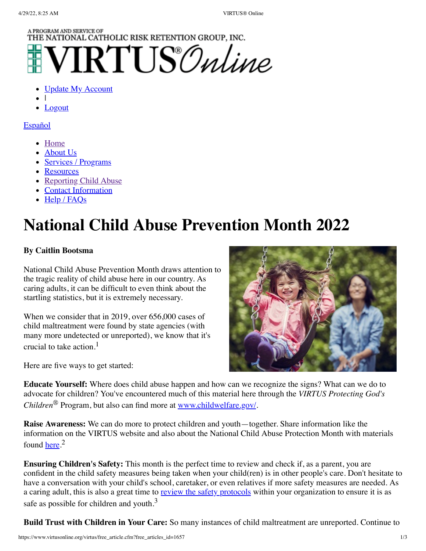## A PROGRAM AND SERVICE OF THE NATIONAL CATHOLIC RISK RETENTION GROUP, INC.

**TRTUS** Online

- **[Update My Account](https://www.virtusonline.org/virtus/update_account.cfm?rt_blnk=1)**
- |
- [Logout](https://www.virtusonline.org/logout.cfm)

#### **[Español](https://www.virtusonline.org/virtus/espaniol.cfm?theme=0)**

- [Home](https://www.virtusonline.org/virtus/)
- [About Us](https://www.virtusonline.org/virtus/virtus_description.cfm)
- [Services / Programs](https://www.virtusonline.org/virtus/productsandservices.cfm)
- [Resources](https://www.virtusonline.org/virtus/virtus_resources.cfm)
- [Reporting Child Abuse](https://www.virtusonline.org/virtus/Abuse_Reporting.cfm)
- [Contact Information](https://www.virtusonline.org/virtus/virtus_contact.cfm)
- $\bullet$  [Help / FAQs](https://www.virtusonline.org/virtus/virtus_help_faq.cfm)

# **National Child Abuse Prevention Month 2022**

### **By Caitlin Bootsma**

National Child Abuse Prevention Month draws attention to the tragic reality of child abuse here in our country. As caring adults, it can be difficult to even think about the startling statistics, but it is extremely necessary.

When we consider that in 2019, over 656,000 cases of child maltreatment were found by state agencies (with many more undetected or unreported), we know that it's crucial to take action.<sup>1</sup>

Here are five ways to get started:



**Educate Yourself:** Where does child abuse happen and how can we recognize the signs? What can we do to advocate for children? You've encountered much of this material here through the *VIRTUS Protecting God's Children*® Program, but also can find more at [www.childwelfare.gov/](https://www.childwelfare.gov/).

**Raise Awareness:** We can do more to protect children and youth—together. Share information like the information on the VIRTUS website and also about the National Child Abuse Protection Month with materials found <u>here</u>.<sup>2</sup>

**Ensuring Children's Safety:** This month is the perfect time to review and check if, as a parent, you are confident in the child safety measures being taken when your child(ren) is in other people's care. Don't hesitate to have a conversation with your child's school, caretaker, or even relatives if more safety measures are needed. As a caring adult, this is also a great time to [review the safety protocols](https://www.cdc.gov/ViolencePrevention/pdf/PreventingChildSexualAbuse-a.pdf) within your organization to ensure it is as safe as possible for children and youth.<sup>3</sup>

**Build Trust with Children in Your Care:** So many instances of child maltreatment are unreported. Continue to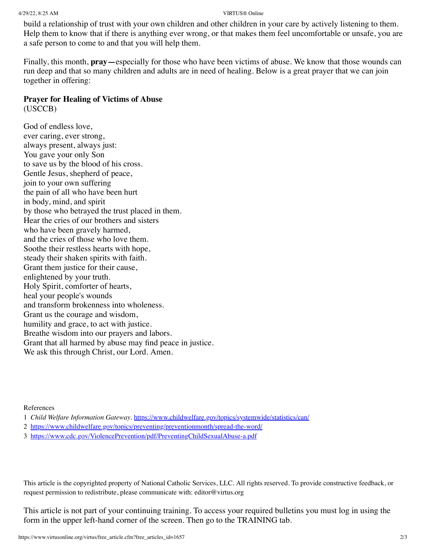build a relationship of trust with your own children and other children in your care by actively listening to them. Help them to know that if there is anything ever wrong, or that makes them feel uncomfortable or unsafe, you are a safe person to come to and that you will help them.

Finally, this month, **pray—**especially for those who have been victims of abuse. We know that those wounds can run deep and that so many children and adults are in need of healing. Below is a great prayer that we can join together in offering:

#### **Prayer for Healing of Victims of Abuse**

(USCCB)

God of endless love, ever caring, ever strong, always present, always just: You gave your only Son to save us by the blood of his cross. Gentle Jesus, shepherd of peace, join to your own suffering the pain of all who have been hurt in body, mind, and spirit by those who betrayed the trust placed in them. Hear the cries of our brothers and sisters who have been gravely harmed, and the cries of those who love them. Soothe their restless hearts with hope, steady their shaken spirits with faith. Grant them justice for their cause, enlightened by your truth. Holy Spirit, comforter of hearts, heal your people's wounds and transform brokenness into wholeness. Grant us the courage and wisdom, humility and grace, to act with justice. Breathe wisdom into our prayers and labors. Grant that all harmed by abuse may find peace in justice. We ask this through Christ, our Lord. Amen.

References

- 1 *Child Welfare Information Gateway*. <https://www.childwelfare.gov/topics/systemwide/statistics/can/>
- 2 <https://www.childwelfare.gov/topics/preventing/preventionmonth/spread-the-word/>
- 3 <https://www.cdc.gov/ViolencePrevention/pdf/PreventingChildSexualAbuse-a.pdf>

This article is the copyrighted property of National Catholic Services, LLC. All rights reserved. To provide constructive feedback, or request permission to redistribute, please communicate with: editor@virtus.org

This article is not part of your continuing training. To access your required bulletins you must log in using the form in the upper left-hand corner of the screen. Then go to the TRAINING tab.